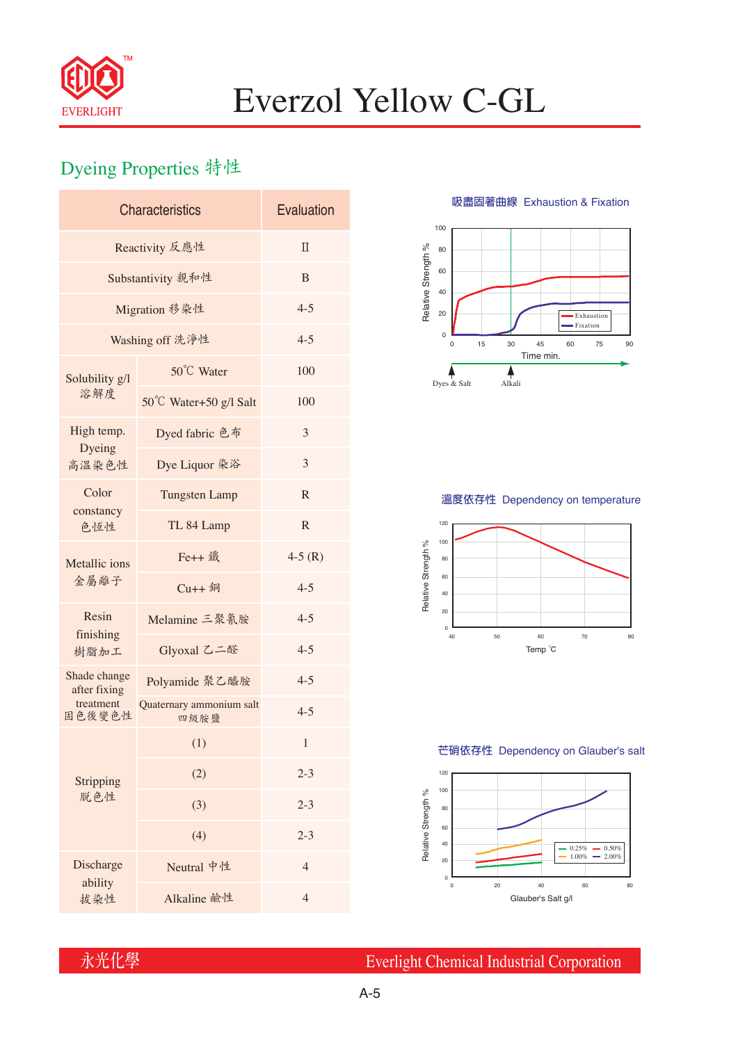

## Everzol Yellow C-GL

## Dyeing Properties 特性

| <b>Characteristics</b>                              | Evaluation                       |                |  |  |  |
|-----------------------------------------------------|----------------------------------|----------------|--|--|--|
| Reactivity 反應性                                      | $\Pi$                            |                |  |  |  |
| Substantivity 親和性                                   | B                                |                |  |  |  |
| Migration 移染性                                       | $4 - 5$                          |                |  |  |  |
| Washing off 洗淨性                                     | $4 - 5$                          |                |  |  |  |
| Solubility g/l<br>溶解度                               | 50°C Water                       | 100            |  |  |  |
|                                                     | 50°C Water+50 g/l Salt           | 100            |  |  |  |
| High temp.                                          | Dyed fabric 色布                   | 3              |  |  |  |
| Dyeing<br>高溫染色性                                     | Dye Liquor 染浴                    | 3              |  |  |  |
| Color<br>constancy<br>色恆性                           | <b>Tungsten Lamp</b>             | R              |  |  |  |
|                                                     | TL 84 Lamp                       | $\mathbb{R}$   |  |  |  |
| Metallic ions<br>金屬離子<br>Resin<br>finishing<br>樹脂加工 | Fe++ 鐵                           | $4-5(R)$       |  |  |  |
|                                                     | $Cu++4$                          | $4 - 5$        |  |  |  |
|                                                     | Melamine 三聚氰胺                    | $4 - 5$        |  |  |  |
|                                                     | Glyoxal 乙二醛                      | $4 - 5$        |  |  |  |
| Shade change<br>after fixing<br>treatment<br>固色後變色性 | Polyamide 聚乙醯胺                   | $4 - 5$        |  |  |  |
|                                                     | Quaternary ammonium salt<br>四級胺鹽 | $4 - 5$        |  |  |  |
|                                                     | (1)                              | 1              |  |  |  |
| Stripping<br>脱色性                                    | (2)                              | $2 - 3$        |  |  |  |
|                                                     | (3)                              | $2 - 3$        |  |  |  |
|                                                     | (4)                              | $2 - 3$        |  |  |  |
| Discharge<br>ability                                |                                  | $\overline{4}$ |  |  |  |
|                                                     | Neutral 中性                       |                |  |  |  |

**吸盡固著曲線** Exhaustion & Fixation



### **溫度依存性** Dependency on temperature



#### **芒硝依存性** Dependency on Glauber's salt